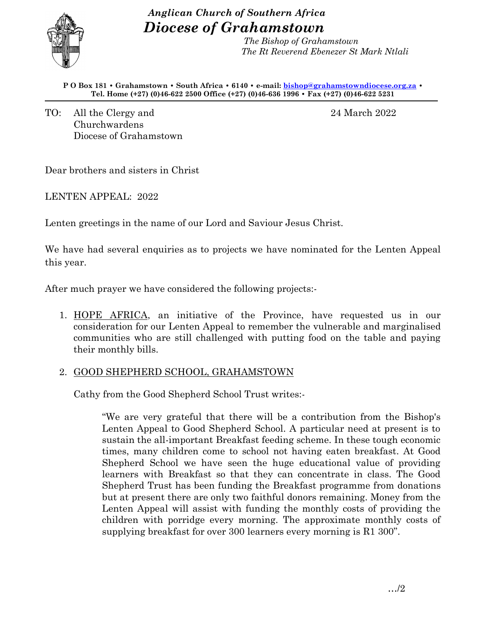# *Anglican Church of Southern Africa Diocese of Grahamstown*



 *The Bishop of Grahamstown The Rt Reverend Ebenezer St Mark Ntlali* 

**P O Box 181 • Grahamstown • South Africa • 6140 • e-mail: [bishop@grahamstowndiocese.org.za](mailto:bishop@grahamstowndiocese.org.za) • Tel. Home (+27) (0)46-622 2500 Office (+27) (0)46-636 1996 • Fax (+27) (0)46-622 5231**

TO: All the Clergy and 24 March 2022 Churchwardens Diocese of Grahamstown

Dear brothers and sisters in Christ

LENTEN APPEAL: 2022

Lenten greetings in the name of our Lord and Saviour Jesus Christ.

We have had several enquiries as to projects we have nominated for the Lenten Appeal this year.

After much prayer we have considered the following projects:-

1. HOPE AFRICA, an initiative of the Province, have requested us in our consideration for our Lenten Appeal to remember the vulnerable and marginalised communities who are still challenged with putting food on the table and paying their monthly bills.

# 2. GOOD SHEPHERD SCHOOL, GRAHAMSTOWN

Cathy from the Good Shepherd School Trust writes:-

"We are very grateful that there will be a contribution from the Bishop's Lenten Appeal to Good Shepherd School. A particular need at present is to sustain the all-important Breakfast feeding scheme. In these tough economic times, many children come to school not having eaten breakfast. At Good Shepherd School we have seen the huge educational value of providing learners with Breakfast so that they can concentrate in class. The Good Shepherd Trust has been funding the Breakfast programme from donations but at present there are only two faithful donors remaining. Money from the Lenten Appeal will assist with funding the monthly costs of providing the children with porridge every morning. The approximate monthly costs of supplying breakfast for over 300 learners every morning is R1 300".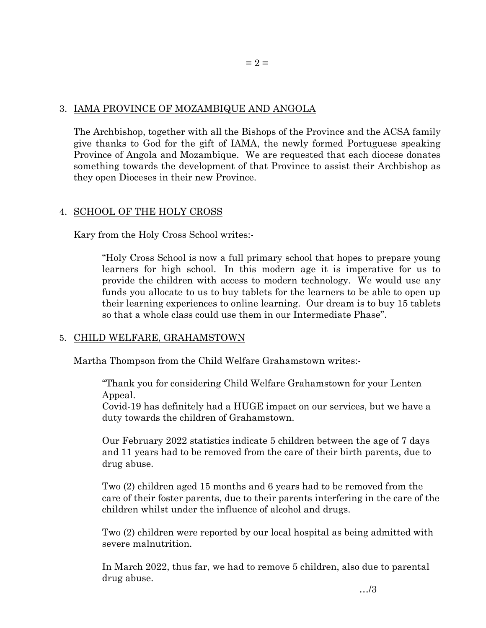### 3. IAMA PROVINCE OF MOZAMBIQUE AND ANGOLA

The Archbishop, together with all the Bishops of the Province and the ACSA family give thanks to God for the gift of IAMA, the newly formed Portuguese speaking Province of Angola and Mozambique. We are requested that each diocese donates something towards the development of that Province to assist their Archbishop as they open Dioceses in their new Province.

# 4. SCHOOL OF THE HOLY CROSS

Kary from the Holy Cross School writes:-

"Holy Cross School is now a full primary school that hopes to prepare young learners for high school. In this modern age it is imperative for us to provide the children with access to modern technology. We would use any funds you allocate to us to buy tablets for the learners to be able to open up their learning experiences to online learning. Our dream is to buy 15 tablets so that a whole class could use them in our Intermediate Phase".

# 5. CHILD WELFARE, GRAHAMSTOWN

Martha Thompson from the Child Welfare Grahamstown writes:-

"Thank you for considering Child Welfare Grahamstown for your Lenten Appeal.

Covid-19 has definitely had a HUGE impact on our services, but we have a duty towards the children of Grahamstown.

Our February 2022 statistics indicate 5 children between the age of 7 days and 11 years had to be removed from the care of their birth parents, due to drug abuse.

Two (2) children aged 15 months and 6 years had to be removed from the care of their foster parents, due to their parents interfering in the care of the children whilst under the influence of alcohol and drugs.

Two (2) children were reported by our local hospital as being admitted with severe malnutrition.

In March 2022, thus far, we had to remove 5 children, also due to parental drug abuse.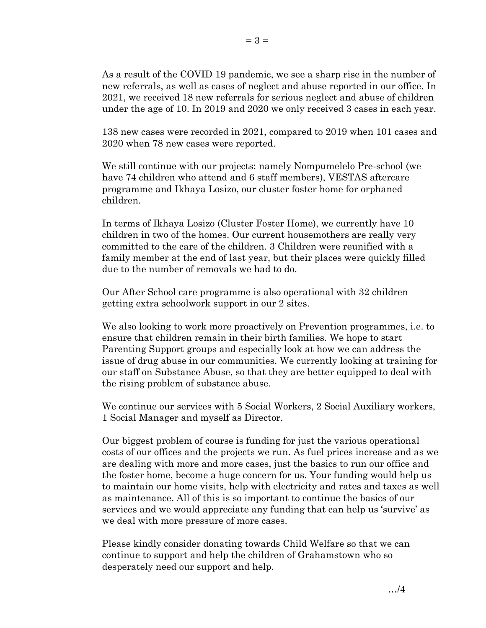As a result of the COVID 19 pandemic, we see a sharp rise in the number of new referrals, as well as cases of neglect and abuse reported in our office. In 2021, we received 18 new referrals for serious neglect and abuse of children under the age of 10. In 2019 and 2020 we only received 3 cases in each year.

138 new cases were recorded in 2021, compared to 2019 when 101 cases and 2020 when 78 new cases were reported.

We still continue with our projects: namely Nompumelelo Pre-school (we have 74 children who attend and 6 staff members), VESTAS aftercare programme and Ikhaya Losizo, our cluster foster home for orphaned children.

In terms of Ikhaya Losizo (Cluster Foster Home), we currently have 10 children in two of the homes. Our current housemothers are really very committed to the care of the children. 3 Children were reunified with a family member at the end of last year, but their places were quickly filled due to the number of removals we had to do.

Our After School care programme is also operational with 32 children getting extra schoolwork support in our 2 sites.

We also looking to work more proactively on Prevention programmes, i.e. to ensure that children remain in their birth families. We hope to start Parenting Support groups and especially look at how we can address the issue of drug abuse in our communities. We currently looking at training for our staff on Substance Abuse, so that they are better equipped to deal with the rising problem of substance abuse.

We continue our services with 5 Social Workers, 2 Social Auxiliary workers, 1 Social Manager and myself as Director.

Our biggest problem of course is funding for just the various operational costs of our offices and the projects we run. As fuel prices increase and as we are dealing with more and more cases, just the basics to run our office and the foster home, become a huge concern for us. Your funding would help us to maintain our home visits, help with electricity and rates and taxes as well as maintenance. All of this is so important to continue the basics of our services and we would appreciate any funding that can help us 'survive' as we deal with more pressure of more cases.

Please kindly consider donating towards Child Welfare so that we can continue to support and help the children of Grahamstown who so desperately need our support and help.